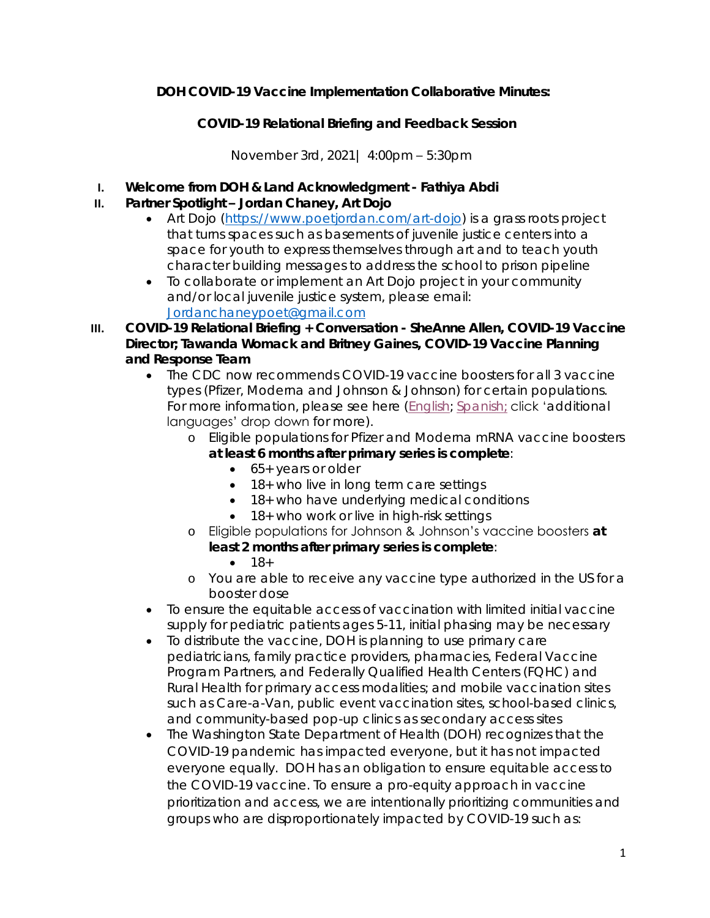**DOH COVID-19 Vaccine Implementation Collaborative Minutes:**

**COVID-19 Relational Briefing and Feedback Session**

November 3rd, 2021| 4:00pm – 5:30pm

- **I. Welcome from DOH & Land Acknowledgment - Fathiya Abdi**
- **II. Partner Spotlight – Jordan Chaney, Art Dojo** 
	- Art Dojo [\(https://www.poetjordan.com/art-dojo\)](https://www.poetjordan.com/art-dojo) is a grass roots project that turns spaces such as basements of juvenile justice centers into a space for youth to express themselves through art and to teach youth character building messages to address the school to prison pipeline
	- To collaborate or implement an Art Dojo project in your community and/or local juvenile justice system, please email: [Jordanchaneypoet@gmail.com](mailto:Jordanchaneypoet@gmail.com)
- **III. COVID-19 Relational Briefing + Conversation - SheAnne Allen, COVID-19 Vaccine Director; Tawanda Womack and Britney Gaines, COVID-19 Vaccine Planning and Response Team** 
	- The CDC now recommends COVID-19 vaccine boosters for all 3 vaccine types (Pfizer, Moderna and Johnson & Johnson) for certain populations. For more information, please see here [\(English;](https://www.doh.wa.gov/Emergencies/COVID19/VaccineInformation/VaccineBoosterDoses) [Spanish;](https://www.doh.wa.gov/Emergencies/COVID19/VaccineInformation/Vacunacontraelcoronavirus/Dosisderefuerzodelavacuna) click 'additional languages' drop down for more).
		- o Eligible populations for Pfizer and Moderna mRNA vaccine boosters **at least 6 months after primary series is complete**:
			- 65+ years or older
			- 18+ who live in long term care settings
			- 18+ who have underlying medical conditions
			- 18+ who work or live in high-risk settings
		- o Eligible populations for Johnson & Johnson's vaccine boosters **at least 2 months after primary series is complete**:
			- $-18+$
		- o You are able to receive any vaccine type authorized in the US for a booster dose
	- To ensure the equitable access of vaccination with limited initial vaccine supply for pediatric patients ages 5-11, initial phasing may be necessary
	- To distribute the vaccine, DOH is planning to use primary care pediatricians, family practice providers, pharmacies, Federal Vaccine Program Partners, and Federally Qualified Health Centers (FQHC) and Rural Health for primary access modalities; and mobile vaccination sites such as Care-a-Van, public event vaccination sites, school-based clinics, and community-based pop-up clinics as secondary access sites
	- The Washington State Department of Health (DOH) recognizes that the COVID-19 pandemic has impacted everyone, but it has not impacted everyone equally. DOH has an obligation to ensure equitable access to the COVID-19 vaccine. To ensure a pro-equity approach in vaccine prioritization and access, we are intentionally prioritizing communities and groups who are disproportionately impacted by COVID-19 such as: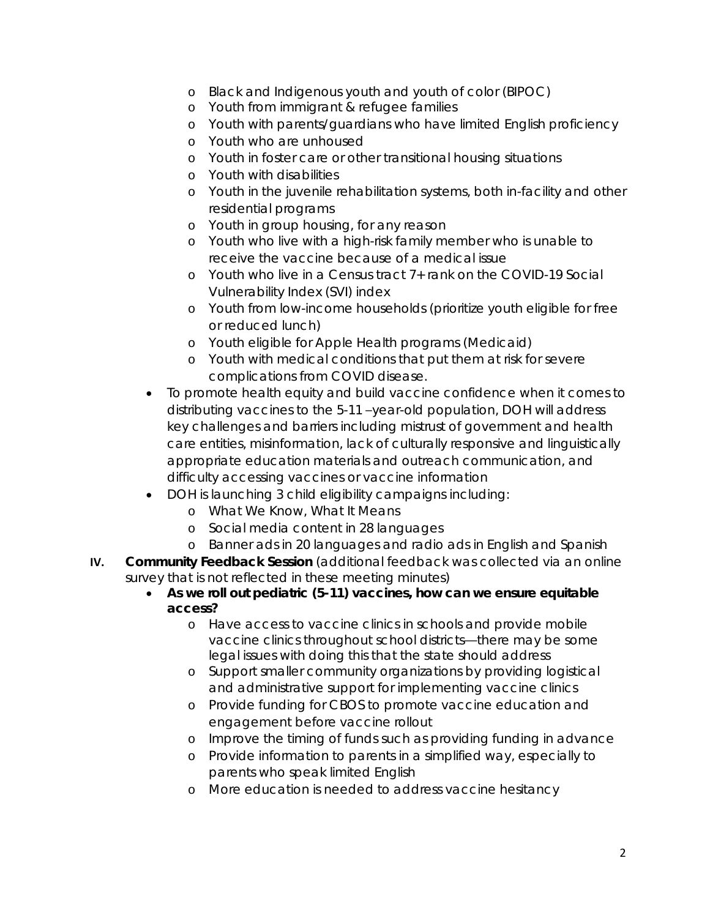- o Black and Indigenous youth and youth of color (BIPOC)
- o Youth from immigrant & refugee families
- o Youth with parents/guardians who have limited English proficiency
- o Youth who are unhoused
- o Youth in foster care or other transitional housing situations
- o Youth with disabilities
- o Youth in the juvenile rehabilitation systems, both in-facility and other residential programs
- o Youth in group housing, for any reason
- o Youth who live with a high-risk family member who is unable to receive the vaccine because of a medical issue
- o Youth who live in a Census tract 7+ rank on the COVID-19 Social Vulnerability Index (SVI) index
- o Youth from low-income households (prioritize youth eligible for free or reduced lunch)
- o Youth eligible for Apple Health programs (Medicaid)
- o Youth with medical conditions that put them at risk for severe complications from COVID disease.
- To promote health equity and build vaccine confidence when it comes to distributing vaccines to the 5-11 –year-old population, DOH will address key challenges and barriers including mistrust of government and health care entities, misinformation, lack of culturally responsive and linguistically appropriate education materials and outreach communication, and difficulty accessing vaccines or vaccine information
- DOH is launching 3 child eligibility campaigns including:
	- o What We Know, What It Means
	- o Social media content in 28 languages
	- o Banner ads in 20 languages and radio ads in English and Spanish
- **IV. Community Feedback Session** (additional feedback was collected via an online survey that is not reflected in these meeting minutes)
	- **As we roll out pediatric (5-11) vaccines, how can we ensure equitable access?**
		- o Have access to vaccine clinics in schools and provide mobile vaccine clinics throughout school districts—there may be some legal issues with doing this that the state should address
		- o Support smaller community organizations by providing logistical and administrative support for implementing vaccine clinics
		- o Provide funding for CBOS to promote vaccine education and engagement before vaccine rollout
		- o Improve the timing of funds such as providing funding in advance
		- o Provide information to parents in a simplified way, especially to parents who speak limited English
		- o More education is needed to address vaccine hesitancy